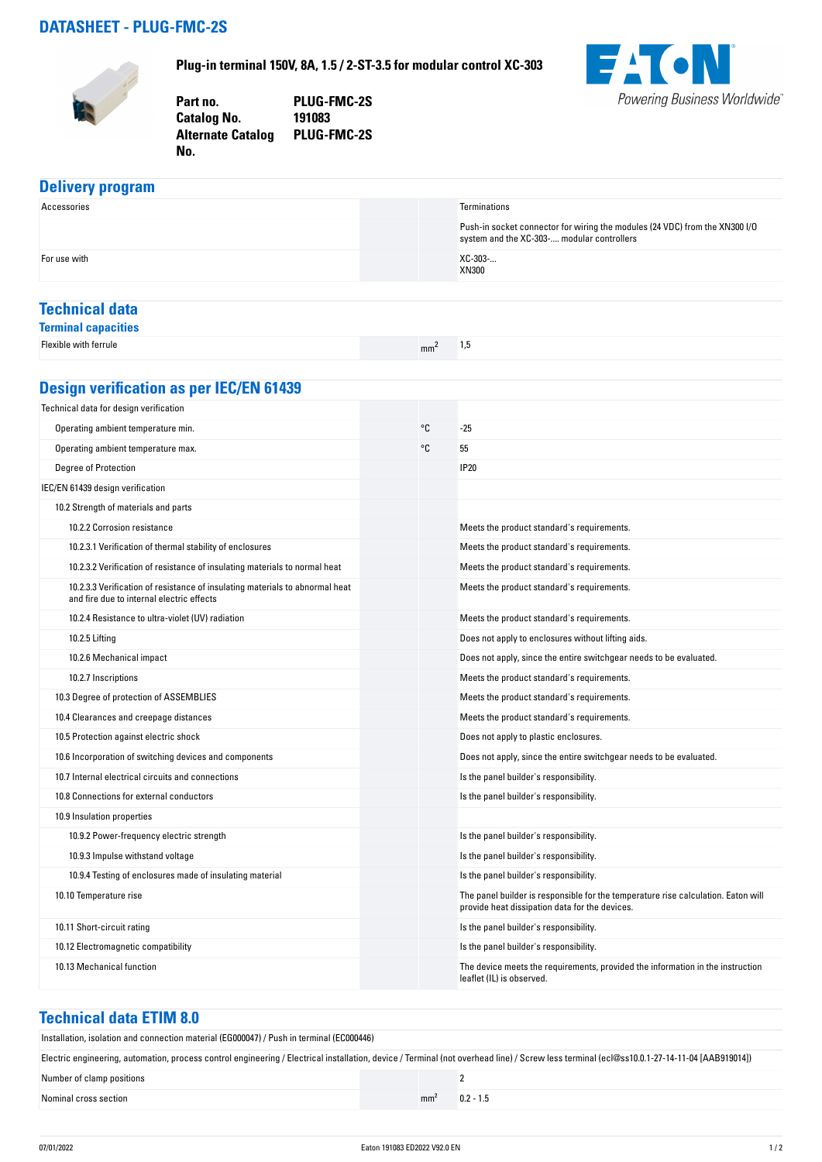### **DATASHEET - PLUG-FMC-2S**



**Plug-in terminal 150V, 8A, 1.5 / 2-ST-3.5 for modular control XC-303**

**Part no. PLUG-FMC-2S Catalog No. Alternate Catalog PLUG-FMC-2S**



# **Delivery program**<br>Accessories Accessories **Terminations** Push-in socket connector for wiring the modules (24 VDC) from the XN300 I/O system and the XC-303-.... modular controllers For use with  $XC-303-...$ XN300 **Technical data**

**Terminal capacities** Flexible with ferrule matrix  $\mathsf{m}\mathsf{m}^2$  1,5

# **Design verification as per IEC/EN 61439**

**No.** 

| Technical data for design verification                                                                                    |    |                                                                                                                                     |
|---------------------------------------------------------------------------------------------------------------------------|----|-------------------------------------------------------------------------------------------------------------------------------------|
| Operating ambient temperature min.                                                                                        | °C | $-25$                                                                                                                               |
| Operating ambient temperature max.                                                                                        | ۰c | 55                                                                                                                                  |
| <b>Degree of Protection</b>                                                                                               |    | <b>IP20</b>                                                                                                                         |
| IEC/EN 61439 design verification                                                                                          |    |                                                                                                                                     |
| 10.2 Strength of materials and parts                                                                                      |    |                                                                                                                                     |
| 10.2.2 Corrosion resistance                                                                                               |    | Meets the product standard's requirements.                                                                                          |
| 10.2.3.1 Verification of thermal stability of enclosures                                                                  |    | Meets the product standard's requirements.                                                                                          |
| 10.2.3.2 Verification of resistance of insulating materials to normal heat                                                |    | Meets the product standard's requirements.                                                                                          |
| 10.2.3.3 Verification of resistance of insulating materials to abnormal heat<br>and fire due to internal electric effects |    | Meets the product standard's requirements.                                                                                          |
| 10.2.4 Resistance to ultra-violet (UV) radiation                                                                          |    | Meets the product standard's requirements.                                                                                          |
| 10.2.5 Lifting                                                                                                            |    | Does not apply to enclosures without lifting aids.                                                                                  |
| 10.2.6 Mechanical impact                                                                                                  |    | Does not apply, since the entire switchgear needs to be evaluated.                                                                  |
| 10.2.7 Inscriptions                                                                                                       |    | Meets the product standard's requirements.                                                                                          |
| 10.3 Degree of protection of ASSEMBLIES                                                                                   |    | Meets the product standard's requirements.                                                                                          |
| 10.4 Clearances and creepage distances                                                                                    |    | Meets the product standard's requirements.                                                                                          |
| 10.5 Protection against electric shock                                                                                    |    | Does not apply to plastic enclosures.                                                                                               |
| 10.6 Incorporation of switching devices and components                                                                    |    | Does not apply, since the entire switchgear needs to be evaluated.                                                                  |
| 10.7 Internal electrical circuits and connections                                                                         |    | Is the panel builder's responsibility.                                                                                              |
| 10.8 Connections for external conductors                                                                                  |    | Is the panel builder's responsibility.                                                                                              |
| 10.9 Insulation properties                                                                                                |    |                                                                                                                                     |
| 10.9.2 Power-frequency electric strength                                                                                  |    | Is the panel builder's responsibility.                                                                                              |
| 10.9.3 Impulse withstand voltage                                                                                          |    | Is the panel builder's responsibility.                                                                                              |
| 10.9.4 Testing of enclosures made of insulating material                                                                  |    | Is the panel builder's responsibility.                                                                                              |
| 10.10 Temperature rise                                                                                                    |    | The panel builder is responsible for the temperature rise calculation. Eaton will<br>provide heat dissipation data for the devices. |
| 10.11 Short-circuit rating                                                                                                |    | Is the panel builder's responsibility.                                                                                              |
| 10.12 Electromagnetic compatibility                                                                                       |    | Is the panel builder's responsibility.                                                                                              |
| 10.13 Mechanical function                                                                                                 |    | The device meets the requirements, provided the information in the instruction<br>leaflet (IL) is observed.                         |

### **Technical data ETIM 8.0**

Installation, isolation and connection material (EG000047) / Push in terminal (EC000446)

| Electric engineering, automation, process control engineering / Electrical installation, device / Terminal (not overhead line) / Screw less terminal (ecl@ss10.0.1-27-14-11-04 [AAB919014]) |                 |             |  |  |
|---------------------------------------------------------------------------------------------------------------------------------------------------------------------------------------------|-----------------|-------------|--|--|
| Number of clamp positions                                                                                                                                                                   |                 |             |  |  |
| Nominal cross section                                                                                                                                                                       | mm <sup>2</sup> | $0.2 - 1.5$ |  |  |